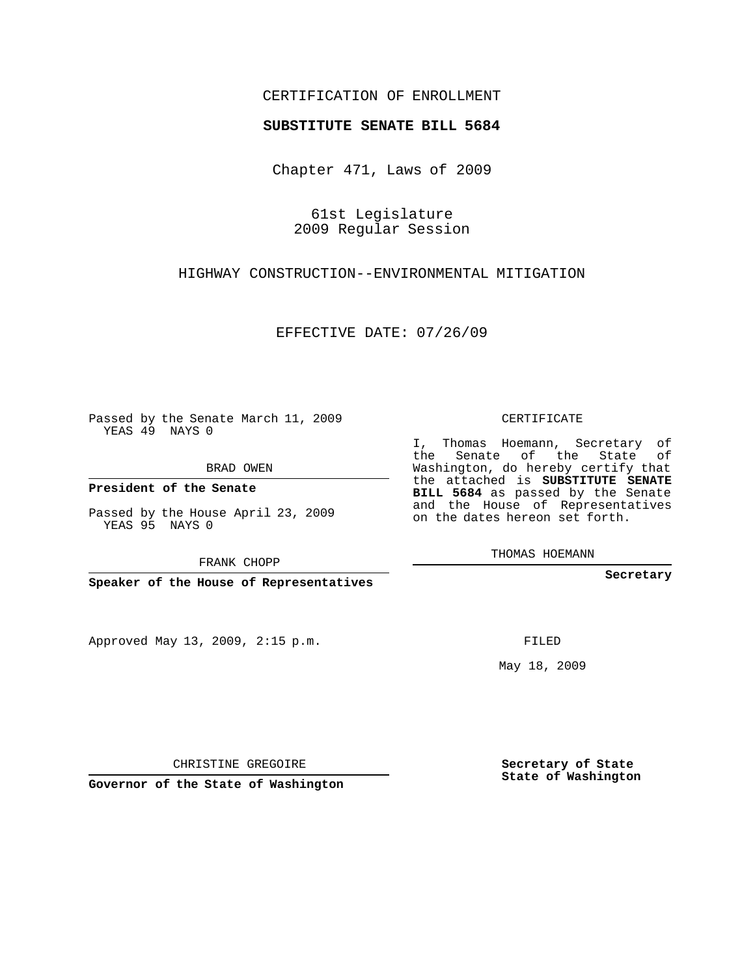## CERTIFICATION OF ENROLLMENT

## **SUBSTITUTE SENATE BILL 5684**

Chapter 471, Laws of 2009

61st Legislature 2009 Regular Session

HIGHWAY CONSTRUCTION--ENVIRONMENTAL MITIGATION

EFFECTIVE DATE: 07/26/09

Passed by the Senate March 11, 2009 YEAS 49 NAYS 0

BRAD OWEN

**President of the Senate**

Passed by the House April 23, 2009 YEAS 95 NAYS 0

FRANK CHOPP

**Speaker of the House of Representatives**

Approved May 13, 2009, 2:15 p.m.

CERTIFICATE

I, Thomas Hoemann, Secretary of the Senate of the State of Washington, do hereby certify that the attached is **SUBSTITUTE SENATE BILL 5684** as passed by the Senate and the House of Representatives on the dates hereon set forth.

THOMAS HOEMANN

**Secretary**

FILED

May 18, 2009

**Secretary of State State of Washington**

CHRISTINE GREGOIRE

**Governor of the State of Washington**